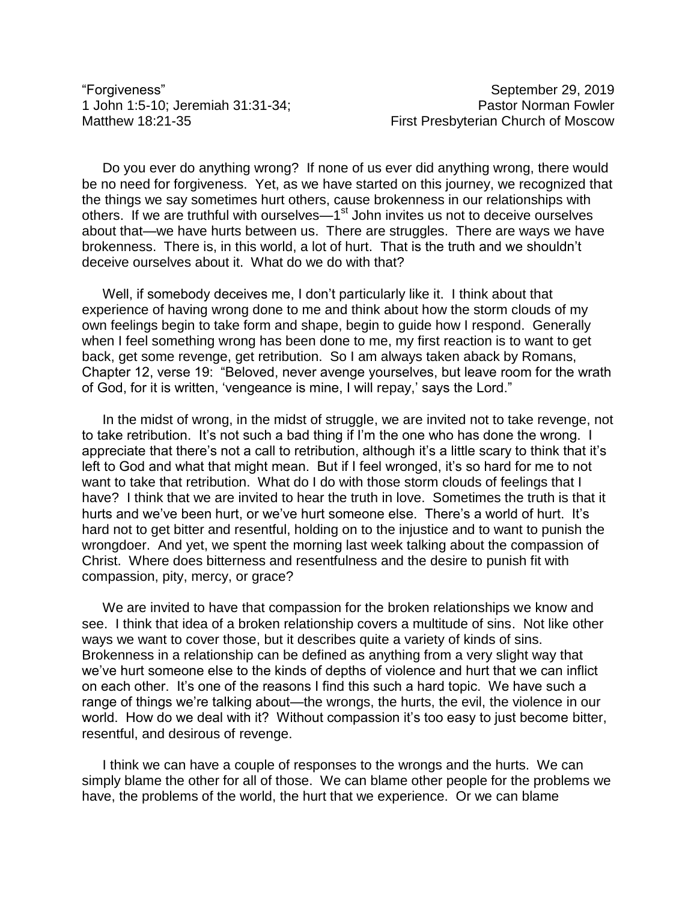"Forgiveness" September 29, 2019

1 John 1:5-10; Jeremiah 31:31-34; Pastor Norman Fowler Matthew 18:21-35 Matthew 18:21-35

Do you ever do anything wrong? If none of us ever did anything wrong, there would be no need for forgiveness. Yet, as we have started on this journey, we recognized that the things we say sometimes hurt others, cause brokenness in our relationships with others. If we are truthful with ourselves—1<sup>st</sup> John invites us not to deceive ourselves about that—we have hurts between us. There are struggles. There are ways we have brokenness. There is, in this world, a lot of hurt. That is the truth and we shouldn't deceive ourselves about it. What do we do with that?

Well, if somebody deceives me, I don't particularly like it. I think about that experience of having wrong done to me and think about how the storm clouds of my own feelings begin to take form and shape, begin to guide how I respond. Generally when I feel something wrong has been done to me, my first reaction is to want to get back, get some revenge, get retribution. So I am always taken aback by Romans, Chapter 12, verse 19: "Beloved, never avenge yourselves, but leave room for the wrath of God, for it is written, 'vengeance is mine, I will repay,' says the Lord."

In the midst of wrong, in the midst of struggle, we are invited not to take revenge, not to take retribution. It's not such a bad thing if I'm the one who has done the wrong. I appreciate that there's not a call to retribution, although it's a little scary to think that it's left to God and what that might mean. But if I feel wronged, it's so hard for me to not want to take that retribution. What do I do with those storm clouds of feelings that I have? I think that we are invited to hear the truth in love. Sometimes the truth is that it hurts and we've been hurt, or we've hurt someone else. There's a world of hurt. It's hard not to get bitter and resentful, holding on to the injustice and to want to punish the wrongdoer. And yet, we spent the morning last week talking about the compassion of Christ. Where does bitterness and resentfulness and the desire to punish fit with compassion, pity, mercy, or grace?

We are invited to have that compassion for the broken relationships we know and see. I think that idea of a broken relationship covers a multitude of sins. Not like other ways we want to cover those, but it describes quite a variety of kinds of sins. Brokenness in a relationship can be defined as anything from a very slight way that we've hurt someone else to the kinds of depths of violence and hurt that we can inflict on each other. It's one of the reasons I find this such a hard topic. We have such a range of things we're talking about—the wrongs, the hurts, the evil, the violence in our world. How do we deal with it? Without compassion it's too easy to just become bitter, resentful, and desirous of revenge.

I think we can have a couple of responses to the wrongs and the hurts. We can simply blame the other for all of those. We can blame other people for the problems we have, the problems of the world, the hurt that we experience. Or we can blame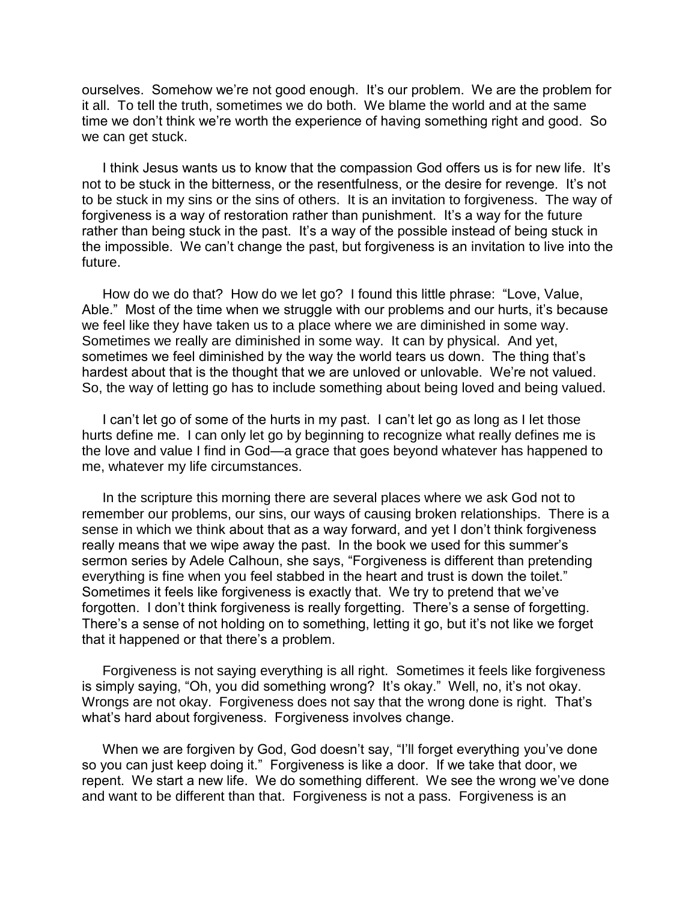ourselves. Somehow we're not good enough. It's our problem. We are the problem for it all. To tell the truth, sometimes we do both. We blame the world and at the same time we don't think we're worth the experience of having something right and good. So we can get stuck.

I think Jesus wants us to know that the compassion God offers us is for new life. It's not to be stuck in the bitterness, or the resentfulness, or the desire for revenge. It's not to be stuck in my sins or the sins of others. It is an invitation to forgiveness. The way of forgiveness is a way of restoration rather than punishment. It's a way for the future rather than being stuck in the past. It's a way of the possible instead of being stuck in the impossible. We can't change the past, but forgiveness is an invitation to live into the future.

How do we do that? How do we let go? I found this little phrase: "Love, Value, Able." Most of the time when we struggle with our problems and our hurts, it's because we feel like they have taken us to a place where we are diminished in some way. Sometimes we really are diminished in some way. It can by physical. And yet, sometimes we feel diminished by the way the world tears us down. The thing that's hardest about that is the thought that we are unloved or unlovable. We're not valued. So, the way of letting go has to include something about being loved and being valued.

I can't let go of some of the hurts in my past. I can't let go as long as I let those hurts define me. I can only let go by beginning to recognize what really defines me is the love and value I find in God—a grace that goes beyond whatever has happened to me, whatever my life circumstances.

In the scripture this morning there are several places where we ask God not to remember our problems, our sins, our ways of causing broken relationships. There is a sense in which we think about that as a way forward, and yet I don't think forgiveness really means that we wipe away the past. In the book we used for this summer's sermon series by Adele Calhoun, she says, "Forgiveness is different than pretending everything is fine when you feel stabbed in the heart and trust is down the toilet." Sometimes it feels like forgiveness is exactly that. We try to pretend that we've forgotten. I don't think forgiveness is really forgetting. There's a sense of forgetting. There's a sense of not holding on to something, letting it go, but it's not like we forget that it happened or that there's a problem.

Forgiveness is not saying everything is all right. Sometimes it feels like forgiveness is simply saying, "Oh, you did something wrong? It's okay." Well, no, it's not okay. Wrongs are not okay. Forgiveness does not say that the wrong done is right. That's what's hard about forgiveness. Forgiveness involves change.

When we are forgiven by God, God doesn't say, "I'll forget everything you've done so you can just keep doing it." Forgiveness is like a door. If we take that door, we repent. We start a new life. We do something different. We see the wrong we've done and want to be different than that. Forgiveness is not a pass. Forgiveness is an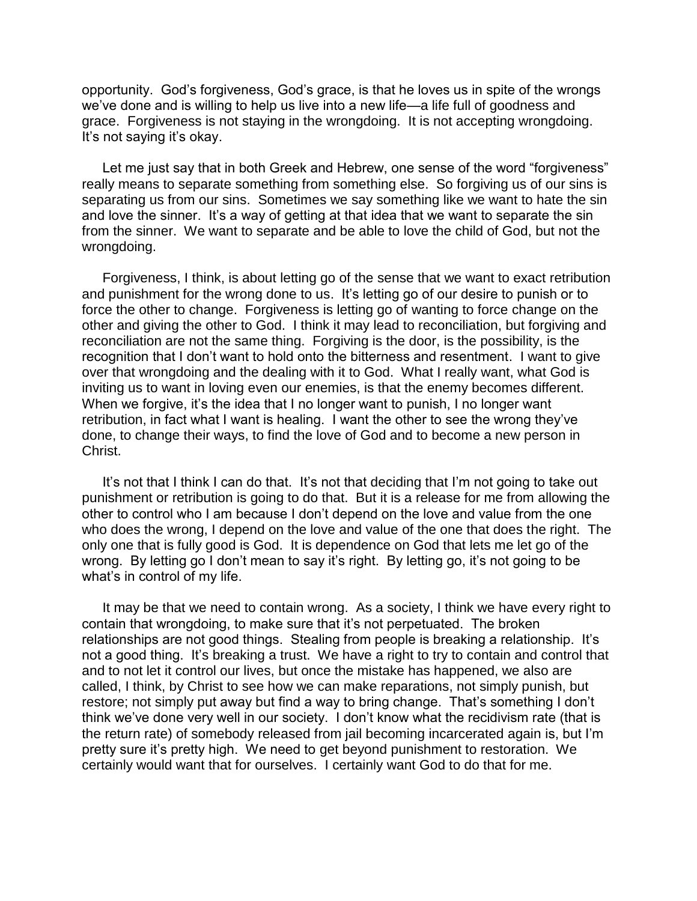opportunity. God's forgiveness, God's grace, is that he loves us in spite of the wrongs we've done and is willing to help us live into a new life—a life full of goodness and grace. Forgiveness is not staying in the wrongdoing. It is not accepting wrongdoing. It's not saying it's okay.

Let me just say that in both Greek and Hebrew, one sense of the word "forgiveness" really means to separate something from something else. So forgiving us of our sins is separating us from our sins. Sometimes we say something like we want to hate the sin and love the sinner. It's a way of getting at that idea that we want to separate the sin from the sinner. We want to separate and be able to love the child of God, but not the wrongdoing.

Forgiveness, I think, is about letting go of the sense that we want to exact retribution and punishment for the wrong done to us. It's letting go of our desire to punish or to force the other to change. Forgiveness is letting go of wanting to force change on the other and giving the other to God. I think it may lead to reconciliation, but forgiving and reconciliation are not the same thing. Forgiving is the door, is the possibility, is the recognition that I don't want to hold onto the bitterness and resentment. I want to give over that wrongdoing and the dealing with it to God. What I really want, what God is inviting us to want in loving even our enemies, is that the enemy becomes different. When we forgive, it's the idea that I no longer want to punish, I no longer want retribution, in fact what I want is healing. I want the other to see the wrong they've done, to change their ways, to find the love of God and to become a new person in Christ.

It's not that I think I can do that. It's not that deciding that I'm not going to take out punishment or retribution is going to do that. But it is a release for me from allowing the other to control who I am because I don't depend on the love and value from the one who does the wrong, I depend on the love and value of the one that does the right. The only one that is fully good is God. It is dependence on God that lets me let go of the wrong. By letting go I don't mean to say it's right. By letting go, it's not going to be what's in control of my life.

It may be that we need to contain wrong. As a society, I think we have every right to contain that wrongdoing, to make sure that it's not perpetuated. The broken relationships are not good things. Stealing from people is breaking a relationship. It's not a good thing. It's breaking a trust. We have a right to try to contain and control that and to not let it control our lives, but once the mistake has happened, we also are called, I think, by Christ to see how we can make reparations, not simply punish, but restore; not simply put away but find a way to bring change. That's something I don't think we've done very well in our society. I don't know what the recidivism rate (that is the return rate) of somebody released from jail becoming incarcerated again is, but I'm pretty sure it's pretty high. We need to get beyond punishment to restoration. We certainly would want that for ourselves. I certainly want God to do that for me.